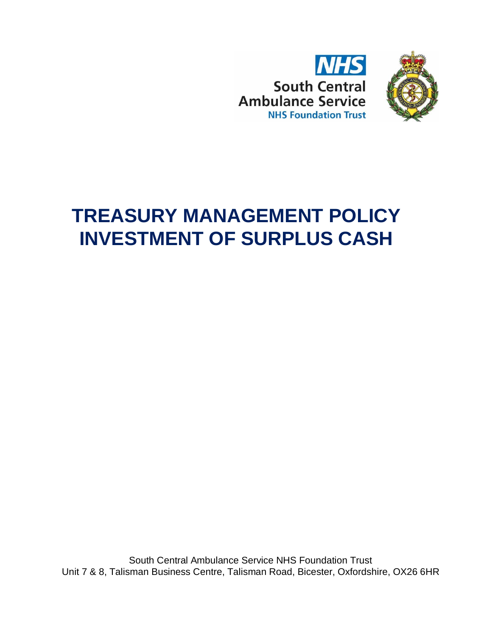



# **TREASURY MANAGEMENT POLICY INVESTMENT OF SURPLUS CASH**

South Central Ambulance Service NHS Foundation Trust Unit 7 & 8, Talisman Business Centre, Talisman Road, Bicester, Oxfordshire, OX26 6HR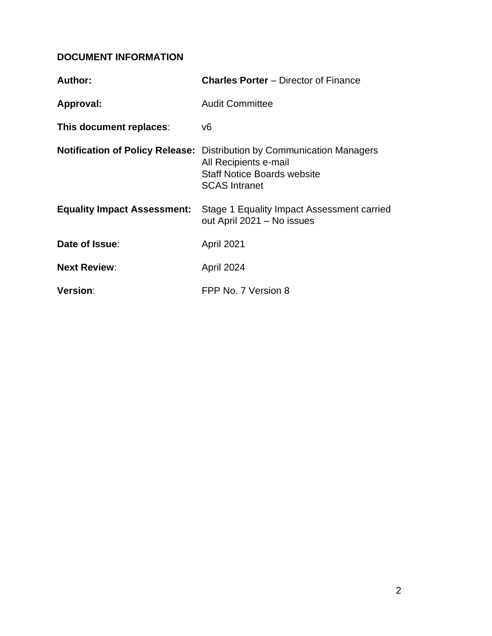# **DOCUMENT INFORMATION**

| Author:                            | <b>Charles Porter</b> – Director of Finance                                                                                                                          |
|------------------------------------|----------------------------------------------------------------------------------------------------------------------------------------------------------------------|
| Approval:                          | <b>Audit Committee</b>                                                                                                                                               |
| This document replaces:            | v6                                                                                                                                                                   |
|                                    | <b>Notification of Policy Release:</b> Distribution by Communication Managers<br>All Recipients e-mail<br><b>Staff Notice Boards website</b><br><b>SCAS Intranet</b> |
| <b>Equality Impact Assessment:</b> | Stage 1 Equality Impact Assessment carried<br>out April 2021 - No issues                                                                                             |
| Date of Issue:                     | <b>April 2021</b>                                                                                                                                                    |
| <b>Next Review:</b>                | April 2024                                                                                                                                                           |
| Version:                           | FPP No. 7 Version 8                                                                                                                                                  |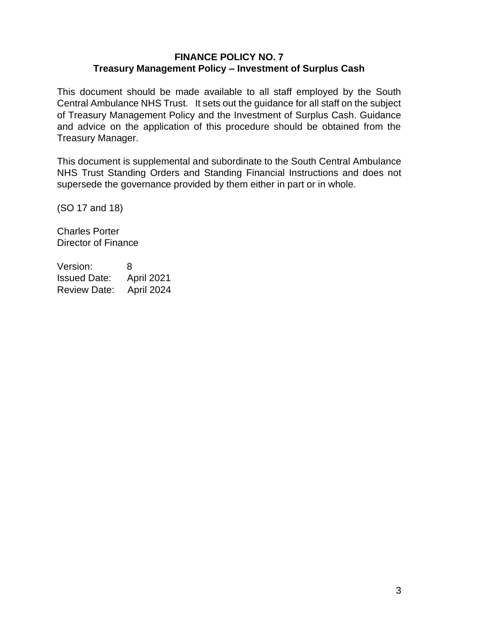#### **FINANCE POLICY NO. 7 Treasury Management Policy – Investment of Surplus Cash**

This document should be made available to all staff employed by the South Central Ambulance NHS Trust. It sets out the guidance for all staff on the subject of Treasury Management Policy and the Investment of Surplus Cash. Guidance and advice on the application of this procedure should be obtained from the Treasury Manager.

This document is supplemental and subordinate to the South Central Ambulance NHS Trust Standing Orders and Standing Financial Instructions and does not supersede the governance provided by them either in part or in whole.

(SO 17 and 18)

Charles Porter Director of Finance

Version: 8 Issued Date: April 2021 Review Date: April 2024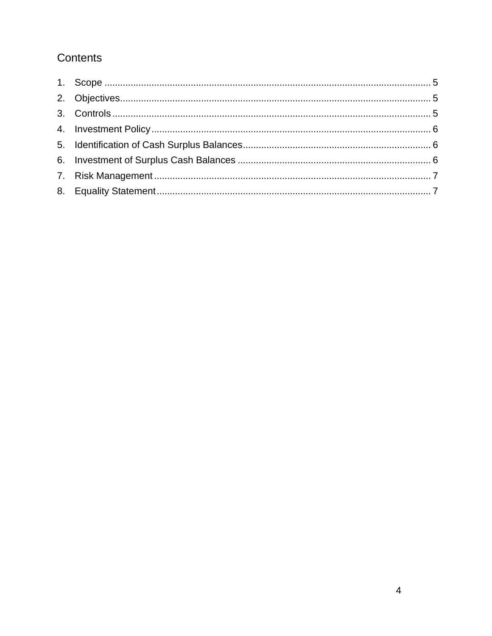# Contents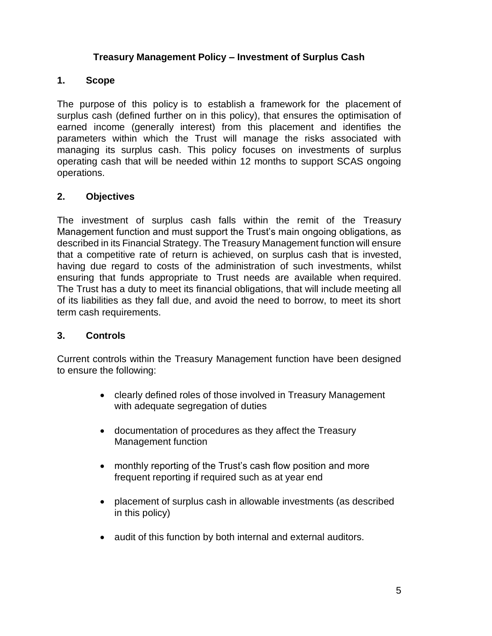### **Treasury Management Policy – Investment of Surplus Cash**

#### <span id="page-4-0"></span>**1. Scope**

The purpose of this policy is to establish a framework for the placement of surplus cash (defined further on in this policy), that ensures the optimisation of earned income (generally interest) from this placement and identifies the parameters within which the Trust will manage the risks associated with managing its surplus cash. This policy focuses on investments of surplus operating cash that will be needed within 12 months to support SCAS ongoing operations.

### <span id="page-4-1"></span>**2. Objectives**

The investment of surplus cash falls within the remit of the Treasury Management function and must support the Trust's main ongoing obligations, as described in its Financial Strategy. The Treasury Management function will ensure that a competitive rate of return is achieved, on surplus cash that is invested, having due regard to costs of the administration of such investments, whilst ensuring that funds appropriate to Trust needs are available when required. The Trust has a duty to meet its financial obligations, that will include meeting all of its liabilities as they fall due, and avoid the need to borrow, to meet its short term cash requirements.

#### <span id="page-4-2"></span>**3. Controls**

Current controls within the Treasury Management function have been designed to ensure the following:

- clearly defined roles of those involved in Treasury Management with adequate segregation of duties
- documentation of procedures as they affect the Treasury Management function
- monthly reporting of the Trust's cash flow position and more frequent reporting if required such as at year end
- placement of surplus cash in allowable investments (as described in this policy)
- audit of this function by both internal and external auditors.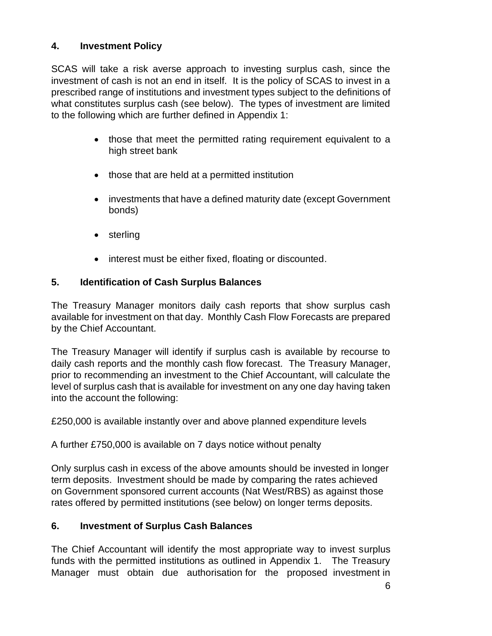# <span id="page-5-0"></span>**4. Investment Policy**

SCAS will take a risk averse approach to investing surplus cash, since the investment of cash is not an end in itself. It is the policy of SCAS to invest in a prescribed range of institutions and investment types subject to the definitions of what constitutes surplus cash (see below). The types of investment are limited to the following which are further defined in Appendix 1:

- those that meet the permitted rating requirement equivalent to a high street bank
- those that are held at a permitted institution
- investments that have a defined maturity date (except Government bonds)
- sterling
- interest must be either fixed, floating or discounted.

### <span id="page-5-1"></span>**5. Identification of Cash Surplus Balances**

The Treasury Manager monitors daily cash reports that show surplus cash available for investment on that day. Monthly Cash Flow Forecasts are prepared by the Chief Accountant.

The Treasury Manager will identify if surplus cash is available by recourse to daily cash reports and the monthly cash flow forecast. The Treasury Manager, prior to recommending an investment to the Chief Accountant, will calculate the level of surplus cash that is available for investment on any one day having taken into the account the following:

£250,000 is available instantly over and above planned expenditure levels

A further £750,000 is available on 7 days notice without penalty

Only surplus cash in excess of the above amounts should be invested in longer term deposits. Investment should be made by comparing the rates achieved on Government sponsored current accounts (Nat West/RBS) as against those rates offered by permitted institutions (see below) on longer terms deposits.

# <span id="page-5-2"></span>**6. Investment of Surplus Cash Balances**

The Chief Accountant will identify the most appropriate way to invest surplus funds with the permitted institutions as outlined in Appendix 1. The Treasury Manager must obtain due authorisation for the proposed investment in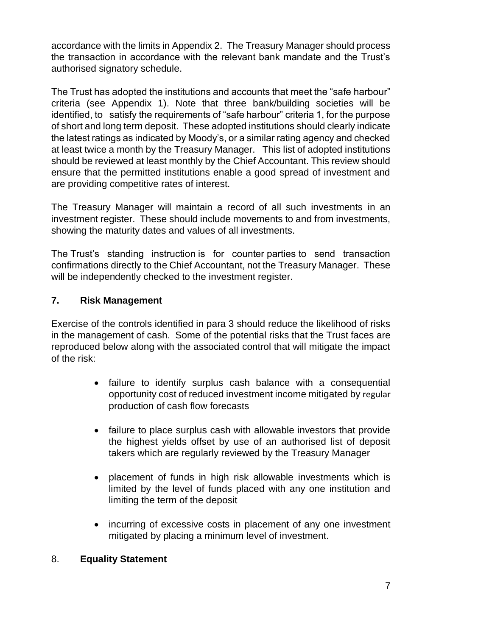accordance with the limits in Appendix 2. The Treasury Manager should process the transaction in accordance with the relevant bank mandate and the Trust's authorised signatory schedule.

The Trust has adopted the institutions and accounts that meet the "safe harbour" criteria (see Appendix 1). Note that three bank/building societies will be identified, to satisfy the requirements of "safe harbour" criteria 1, for the purpose of short and long term deposit. These adopted institutions should clearly indicate the latest ratings as indicated by Moody's, or a similar rating agency and checked at least twice a month by the Treasury Manager. This list of adopted institutions should be reviewed at least monthly by the Chief Accountant. This review should ensure that the permitted institutions enable a good spread of investment and are providing competitive rates of interest.

The Treasury Manager will maintain a record of all such investments in an investment register. These should include movements to and from investments, showing the maturity dates and values of all investments.

The Trust's standing instruction is for counter parties to send transaction confirmations directly to the Chief Accountant, not the Treasury Manager. These will be independently checked to the investment register.

# <span id="page-6-0"></span>**7. Risk Management**

Exercise of the controls identified in para 3 should reduce the likelihood of risks in the management of cash. Some of the potential risks that the Trust faces are reproduced below along with the associated control that will mitigate the impact of the risk:

- failure to identify surplus cash balance with a consequential opportunity cost of reduced investment income mitigated by regular production of cash flow forecasts
- failure to place surplus cash with allowable investors that provide the highest yields offset by use of an authorised list of deposit takers which are regularly reviewed by the Treasury Manager
- placement of funds in high risk allowable investments which is limited by the level of funds placed with any one institution and limiting the term of the deposit
- incurring of excessive costs in placement of any one investment mitigated by placing a minimum level of investment.

# <span id="page-6-1"></span>8. **Equality Statement**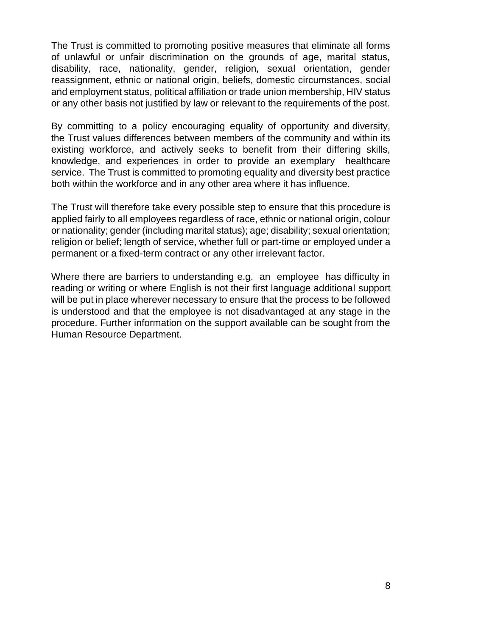The Trust is committed to promoting positive measures that eliminate all forms of unlawful or unfair discrimination on the grounds of age, marital status, disability, race, nationality, gender, religion, sexual orientation, gender reassignment, ethnic or national origin, beliefs, domestic circumstances, social and employment status, political affiliation or trade union membership, HIV status or any other basis not justified by law or relevant to the requirements of the post.

By committing to a policy encouraging equality of opportunity and diversity, the Trust values differences between members of the community and within its existing workforce, and actively seeks to benefit from their differing skills, knowledge, and experiences in order to provide an exemplary healthcare service. The Trust is committed to promoting equality and diversity best practice both within the workforce and in any other area where it has influence.

The Trust will therefore take every possible step to ensure that this procedure is applied fairly to all employees regardless of race, ethnic or national origin, colour or nationality; gender (including marital status); age; disability; sexual orientation; religion or belief; length of service, whether full or part-time or employed under a permanent or a fixed-term contract or any other irrelevant factor.

Where there are barriers to understanding e.g. an employee has difficulty in reading or writing or where English is not their first language additional support will be put in place wherever necessary to ensure that the process to be followed is understood and that the employee is not disadvantaged at any stage in the procedure. Further information on the support available can be sought from the Human Resource Department.